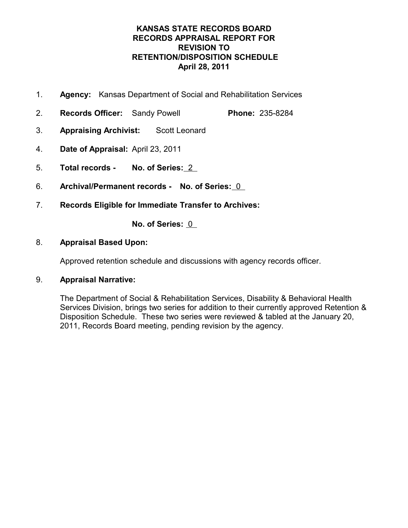## **KANSAS STATE RECORDS BOARD RECORDS APPRAISAL REPORT FOR REVISION TO RETENTION/DISPOSITION SCHEDULE April 28, 2011**

- 1. **Agency:** Kansas Department of Social and Rehabilitation Services
- 2. **Records Officer:** Sandy Powell **Phone:** 235-8284
- 3. **Appraising Archivist:** Scott Leonard
- 4. **Date of Appraisal:** April 23, 2011
- 5. **Total records - No. of Series:** 2
- 6. **Archival/Permanent records - No. of Series:** 0
- 7. **Records Eligible for Immediate Transfer to Archives:**

**No. of Series:** 0

## 8. **Appraisal Based Upon:**

Approved retention schedule and discussions with agency records officer.

## 9. **Appraisal Narrative:**

The Department of Social & Rehabilitation Services, Disability & Behavioral Health Services Division, brings two series for addition to their currently approved Retention & Disposition Schedule. These two series were reviewed & tabled at the January 20, 2011, Records Board meeting, pending revision by the agency.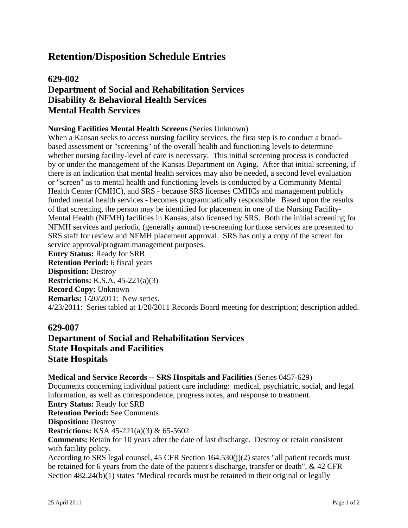# **629-002 Department of Social and Rehabilitation Services Disability & Behavioral Health Services Mental Health Services**

### **Nursing Facilities Mental Health Screens** (Series Unknown)

When a Kansan seeks to access nursing facility services, the first step is to conduct a broadbased assessment or "screening" of the overall health and functioning levels to determine whether nursing facility-level of care is necessary. This initial screening process is conducted by or under the management of the Kansas Department on Aging. After that initial screening, if there is an indication that mental health services may also be needed, a second level evaluation or "screen" as to mental health and functioning levels is conducted by a Community Mental Health Center (CMHC), and SRS - because SRS licenses CMHCs and management publicly funded mental health services - becomes programmatically responsible. Based upon the results of that screening, the person may be identified for placement in one of the Nursing Facility-Mental Health (NFMH) facilities in Kansas, also licensed by SRS. Both the initial screening for NFMH services and periodic (generally annual) re-screening for those services are presented to SRS staff for review and NFMH placement approval. SRS has only a copy of the screen for service approval/program management purposes.

**Entry Status:** Ready for SRB **Retention Period:** 6 fiscal years **Disposition:** Destroy **Restrictions:** K.S.A. 45-221(a)(3) **Record Copy:** Unknown **Remarks:**  $1/20/2011$ : New series. 4/23/2011: Series tabled at 1/20/2011 Records Board meeting for description; description added.

## **629-007**

# **Department of Social and Rehabilitation Services State Hospitals and Facilities State Hospitals**

### **Medical and Service Records -- SRS Hospitals and Facilities** (Series 0457-629) Documents concerning individual patient care including: medical, psychiatric, social, and legal information, as well as correspondence, progress notes, and response to treatment. **Entry Status:** Ready for SRB **Retention Period:** See Comments **Disposition:** Destroy **Restrictions:** KSA 45-221(a)(3) & 65-5602 **Comments:** Retain for 10 years after the date of last discharge. Destroy or retain consistent with facility policy.

According to SRS legal counsel, 45 CFR Section 164.530(j)(2) states "all patient records must be retained for 6 years from the date of the patient's discharge, transfer or death", & 42 CFR Section 482.24(b)(1) states "Medical records must be retained in their original or legally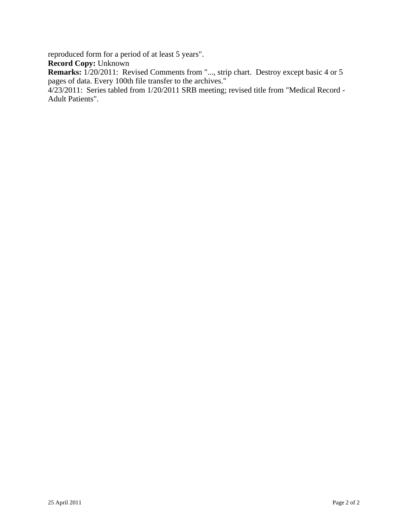reproduced form for a period of at least 5 years".

**Record Copy:** Unknown

Remarks:  $1/20/2011$ : Revised Comments from "..., strip chart. Destroy except basic 4 or 5 pages of data. Every 100th file transfer to the archives."

 4/23/2011: Series tabled from 1/20/2011 SRB meeting; revised title from "Medical Record - Adult Patients".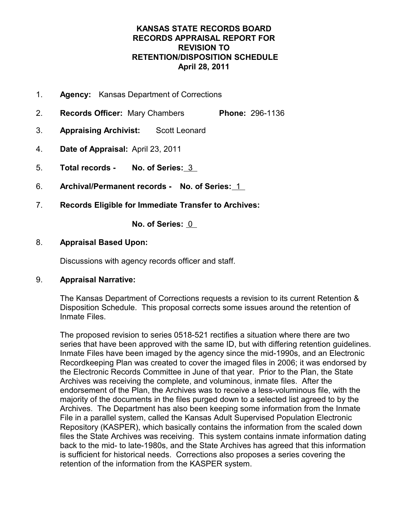## **KANSAS STATE RECORDS BOARD RECORDS APPRAISAL REPORT FOR REVISION TO RETENTION/DISPOSITION SCHEDULE April 28, 2011**

- 1. **Agency:** Kansas Department of Corrections
- 2. **Records Officer:** Mary Chambers **Phone:** 296-1136
- 3. **Appraising Archivist:** Scott Leonard
- 4. **Date of Appraisal:** April 23, 2011
- 5. **Total records - No. of Series:** 3
- 6. **Archival/Permanent records - No. of Series:** 1
- 7. **Records Eligible for Immediate Transfer to Archives:**

**No. of Series:** 0

### 8. **Appraisal Based Upon:**

Discussions with agency records officer and staff.

## 9. **Appraisal Narrative:**

The Kansas Department of Corrections requests a revision to its current Retention & Disposition Schedule. This proposal corrects some issues around the retention of Inmate Files.

The proposed revision to series 0518-521 rectifies a situation where there are two series that have been approved with the same ID, but with differing retention guidelines. Inmate Files have been imaged by the agency since the mid-1990s, and an Electronic Recordkeeping Plan was created to cover the imaged files in 2006; it was endorsed by the Electronic Records Committee in June of that year. Prior to the Plan, the State Archives was receiving the complete, and voluminous, inmate files. After the endorsement of the Plan, the Archives was to receive a less-voluminous file, with the majority of the documents in the files purged down to a selected list agreed to by the Archives. The Department has also been keeping some information from the Inmate File in a parallel system, called the Kansas Adult Supervised Population Electronic Repository (KASPER), which basically contains the information from the scaled down files the State Archives was receiving. This system contains inmate information dating back to the mid- to late-1980s, and the State Archives has agreed that this information is sufficient for historical needs. Corrections also proposes a series covering the retention of the information from the KASPER system.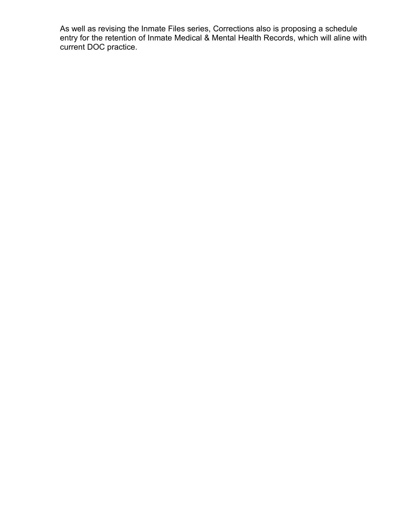As well as revising the Inmate Files series, Corrections also is proposing a schedule entry for the retention of Inmate Medical & Mental Health Records, which will aline with current DOC practice.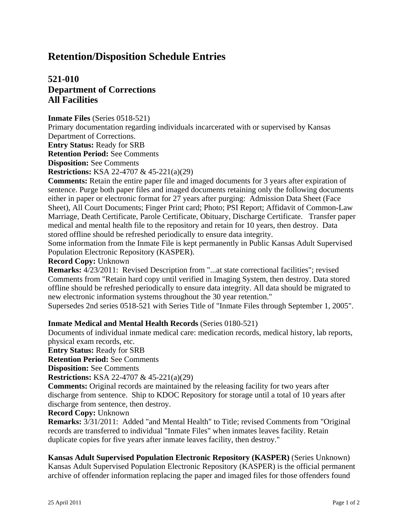# **521-010 Department of Corrections All Facilities**

### **Inmate Files** (Series 0518-521)

Primary documentation regarding individuals incarcerated with or supervised by Kansas Department of Corrections.

**Entry Status:** Ready for SRB

**Retention Period:** See Comments

**Disposition:** See Comments

**Restrictions:** KSA 22-4707 & 45-221(a)(29)

**Comments:** Retain the entire paper file and imaged documents for 3 years after expiration of sentence. Purge both paper files and imaged documents retaining only the following documents either in paper or electronic format for 27 years after purging: Admission Data Sheet (Face Sheet), All Court Documents; Finger Print card; Photo; PSI Report; Affidavit of Common-Law Marriage, Death Certificate, Parole Certificate, Obituary, Discharge Certificate. Transfer paper medical and mental health file to the repository and retain for 10 years, then destroy. Data stored offline should be refreshed periodically to ensure data integrity.

Some information from the Inmate File is kept permanently in Public Kansas Adult Supervised Population Electronic Repository (KASPER).

#### **Record Copy:** Unknown

**Remarks:** 4/23/2011: Revised Description from "...at state correctional facilities"; revised Comments from "Retain hard copy until verified in Imaging System, then destroy. Data stored offline should be refreshed periodically to ensure data integrity. All data should be migrated to new electronic information systems throughout the 30 year retention."

Supersedes 2nd series 0518-521 with Series Title of "Inmate Files through September 1, 2005".

### **Inmate Medical and Mental Health Records** (Series 0180-521)

Documents of individual inmate medical care: medication records, medical history, lab reports, physical exam records, etc.

**Entry Status:** Ready for SRB

**Retention Period:** See Comments

**Disposition:** See Comments

**Restrictions:** KSA 22-4707 & 45-221(a)(29)

**Comments:** Original records are maintained by the releasing facility for two years after discharge from sentence. Ship to KDOC Repository for storage until a total of 10 years after discharge from sentence, then destroy.

### **Record Copy:** Unknown

**Remarks:** 3/31/2011: Added "and Mental Health" to Title; revised Comments from "Original records are transferred to individual "Inmate Files" when inmates leaves facility. Retain duplicate copies for five years after inmate leaves facility, then destroy."

#### **Kansas Adult Supervised Population Electronic Repository (KASPER)** (Series Unknown) Kansas Adult Supervised Population Electronic Repository (KASPER) is the official permanent archive of offender information replacing the paper and imaged files for those offenders found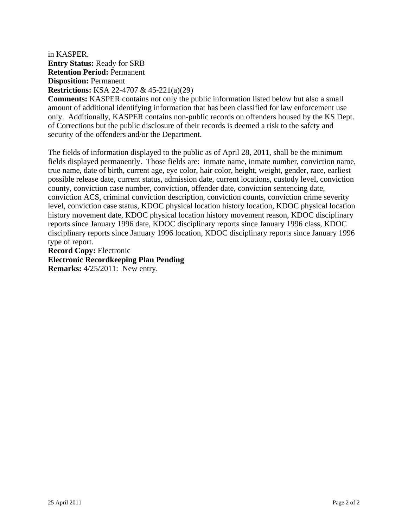### in KASPER. **Entry Status:** Ready for SRB **Retention Period:** Permanent **Disposition:** Permanent **Restrictions:** KSA 22-4707 & 45-221(a)(29)

**Comments:** KASPER contains not only the public information listed below but also a small amount of additional identifying information that has been classified for law enforcement use only. Additionally, KASPER contains non-public records on offenders housed by the KS Dept. of Corrections but the public disclosure of their records is deemed a risk to the safety and security of the offenders and/or the Department.

The fields of information displayed to the public as of April 28, 2011, shall be the minimum fields displayed permanently. Those fields are: inmate name, inmate number, conviction name, true name, date of birth, current age, eye color, hair color, height, weight, gender, race, earliest possible release date, current status, admission date, current locations, custody level, conviction county, conviction case number, conviction, offender date, conviction sentencing date, conviction ACS, criminal conviction description, conviction counts, conviction crime severity level, conviction case status, KDOC physical location history location, KDOC physical location history movement date, KDOC physical location history movement reason, KDOC disciplinary reports since January 1996 date, KDOC disciplinary reports since January 1996 class, KDOC disciplinary reports since January 1996 location, KDOC disciplinary reports since January 1996 type of report.

**Record Copy:** Electronic **Electronic Recordkeeping Plan Pending Remarks:** 4/25/2011: New entry.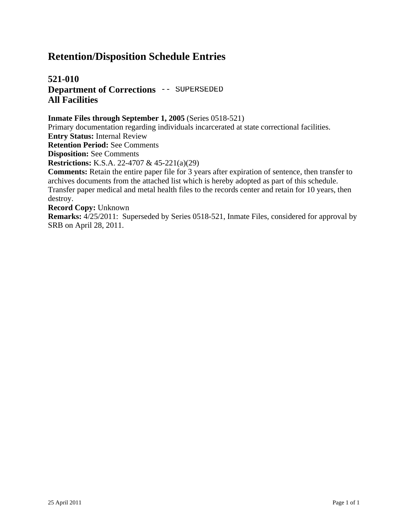# **521-010 Department of Corrections -- SUPERSEDED All Facilities**

### **Inmate Files through September 1, 2005** (Series 0518-521)

Primary documentation regarding individuals incarcerated at state correctional facilities.

**Entry Status:** Internal Review

**Retention Period:** See Comments

**Disposition:** See Comments

**Restrictions:** K.S.A. 22-4707 & 45-221(a)(29)

**Comments:** Retain the entire paper file for 3 years after expiration of sentence, then transfer to archives documents from the attached list which is hereby adopted as part of this schedule. Transfer paper medical and metal health files to the records center and retain for 10 years, then destroy.

**Record Copy:** Unknown

**Remarks:** 4/25/2011: Superseded by Series 0518-521, Inmate Files, considered for approval by SRB on April 28, 2011.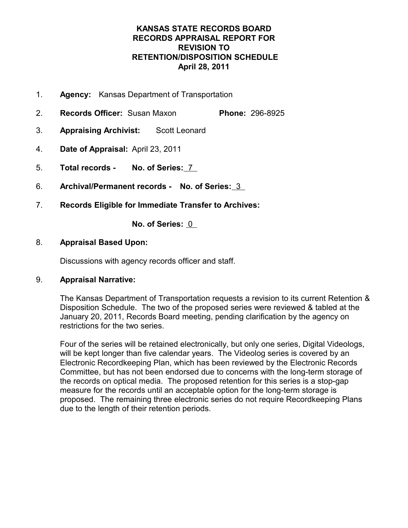## **KANSAS STATE RECORDS BOARD RECORDS APPRAISAL REPORT FOR REVISION TO RETENTION/DISPOSITION SCHEDULE April 28, 2011**

- 1. **Agency:** Kansas Department of Transportation
- 2. **Records Officer:** Susan Maxon **Phone:** 296-8925
- 3. **Appraising Archivist:** Scott Leonard
- 4. **Date of Appraisal:** April 23, 2011
- 5. **Total records - No. of Series:** 7
- 6. **Archival/Permanent records - No. of Series:** 3
- 7. **Records Eligible for Immediate Transfer to Archives:**

**No. of Series:** 0

### 8. **Appraisal Based Upon:**

Discussions with agency records officer and staff.

## 9. **Appraisal Narrative:**

The Kansas Department of Transportation requests a revision to its current Retention & Disposition Schedule. The two of the proposed series were reviewed & tabled at the January 20, 2011, Records Board meeting, pending clarification by the agency on restrictions for the two series.

Four of the series will be retained electronically, but only one series, Digital Videologs, will be kept longer than five calendar years. The Videolog series is covered by an Electronic Recordkeeping Plan, which has been reviewed by the Electronic Records Committee, but has not been endorsed due to concerns with the long-term storage of the records on optical media. The proposed retention for this series is a stop-gap measure for the records until an acceptable option for the long-term storage is proposed. The remaining three electronic series do not require Recordkeeping Plans due to the length of their retention periods.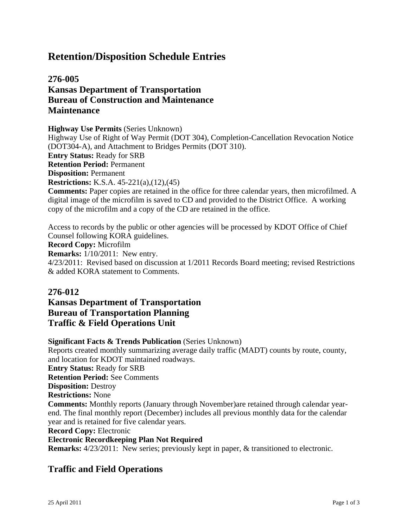# **276-005 Kansas Department of Transportation Bureau of Construction and Maintenance Maintenance**

**Highway Use Permits** (Series Unknown)

Highway Use of Right of Way Permit (DOT 304), Completion-Cancellation Revocation Notice (DOT304-A), and Attachment to Bridges Permits (DOT 310). **Entry Status:** Ready for SRB **Retention Period:** Permanent

**Disposition:** Permanent

**Restrictions:** K.S.A. 45-221(a),(12),(45)

**Comments:** Paper copies are retained in the office for three calendar years, then microfilmed. A digital image of the microfilm is saved to CD and provided to the District Office. A working copy of the microfilm and a copy of the CD are retained in the office.

Access to records by the public or other agencies will be processed by KDOT Office of Chief Counsel following KORA guidelines.

**Record Copy:** Microfilm

**Remarks:** 1/10/2011: New entry.

4/23/2011: Revised based on discussion at 1/2011 Records Board meeting; revised Restrictions & added KORA statement to Comments.

## **276-012**

# **Kansas Department of Transportation Bureau of Transportation Planning Traffic & Field Operations Unit**

**Significant Facts & Trends Publication** (Series Unknown) Reports created monthly summarizing average daily traffic (MADT) counts by route, county, and location for KDOT maintained roadways. **Entry Status:** Ready for SRB **Retention Period:** See Comments **Disposition:** Destroy **Restrictions:** None **Comments:** Monthly reports (January through November)are retained through calendar yearend. The final monthly report (December) includes all previous monthly data for the calendar year and is retained for five calendar years. **Record Copy:** Electronic **Electronic Recordkeeping Plan Not Required Remarks:**  $4/23/2011$ : New series; previously kept in paper, & transitioned to electronic.

# **Traffic and Field Operations**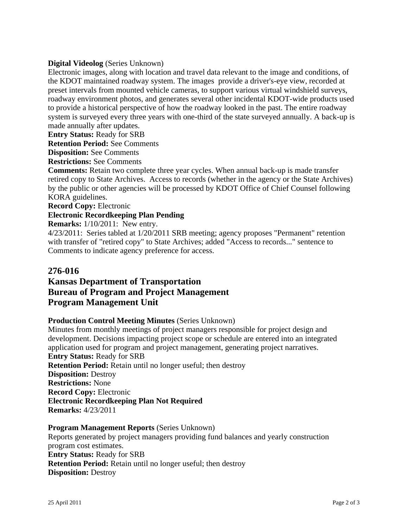### **Digital Videolog** (Series Unknown)

Electronic images, along with location and travel data relevant to the image and conditions, of the KDOT maintained roadway system. The images provide a driver's-eye view, recorded at preset intervals from mounted vehicle cameras, to support various virtual windshield surveys, roadway environment photos, and generates several other incidental KDOT-wide products used to provide a historical perspective of how the roadway looked in the past. The entire roadway system is surveyed every three years with one-third of the state surveyed annually. A back-up is made annually after updates.

**Entry Status:** Ready for SRB

**Retention Period:** See Comments

**Disposition:** See Comments

**Restrictions:** See Comments

**Comments:** Retain two complete three year cycles. When annual back-up is made transfer retired copy to State Archives. Access to records (whether in the agency or the State Archives) by the public or other agencies will be processed by KDOT Office of Chief Counsel following KORA guidelines.

**Record Copy:** Electronic

#### **Electronic Recordkeeping Plan Pending**

**Remarks:** 1/10/2011: New entry.

4/23/2011: Series tabled at 1/20/2011 SRB meeting; agency proposes "Permanent" retention with transfer of "retired copy" to State Archives; added "Access to records..." sentence to Comments to indicate agency preference for access.

### **276-016**

## **Kansas Department of Transportation Bureau of Program and Project Management Program Management Unit**

#### **Production Control Meeting Minutes** (Series Unknown)

Minutes from monthly meetings of project managers responsible for project design and development. Decisions impacting project scope or schedule are entered into an integrated application used for program and project management, generating project narratives. **Entry Status:** Ready for SRB **Retention Period:** Retain until no longer useful; then destroy **Disposition:** Destroy **Restrictions:** None **Record Copy:** Electronic **Electronic Recordkeeping Plan Not Required Remarks:** 4/23/2011

**Program Management Reports** (Series Unknown) Reports generated by project managers providing fund balances and yearly construction program cost estimates. **Entry Status:** Ready for SRB **Retention Period:** Retain until no longer useful; then destroy **Disposition:** Destroy